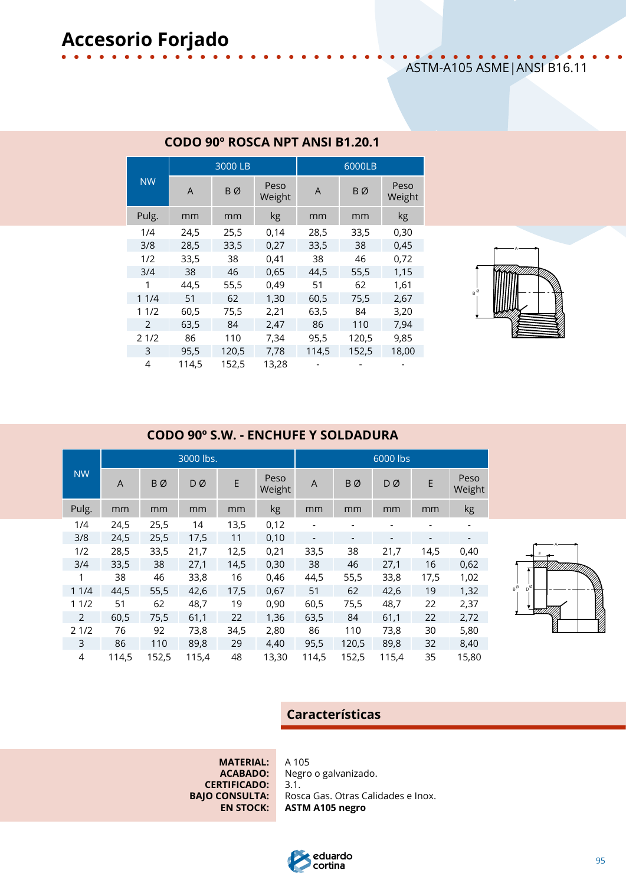|  |  |  | .                            |  |  |  |  |
|--|--|--|------------------------------|--|--|--|--|
|  |  |  | ASTM-A105 ASME   ANSI B16.11 |  |  |  |  |

|           |       | 3000 LB |                | 6000LB |       |                |  |  |
|-----------|-------|---------|----------------|--------|-------|----------------|--|--|
| <b>NW</b> | A     | ΒØ      | Peso<br>Weight | A      | BØ    | Peso<br>Weight |  |  |
| Pulg.     | mm    | mm      | kg             | mm     | mm    | kg             |  |  |
| 1/4       | 24,5  | 25,5    | 0,14           | 28,5   | 33,5  | 0,30           |  |  |
| 3/8       | 28,5  | 33,5    | 0,27           | 33,5   | 38    | 0,45           |  |  |
| 1/2       | 33,5  | 38      | 0,41           | 38     | 46    | 0,72           |  |  |
| 3/4       | 38    | 46      | 0,65           | 44.5   | 55.5  | 1,15           |  |  |
| 1         | 44.5  | 55,5    | 0,49           | 51     | 62    | 1,61           |  |  |
| 11/4      | 51    | 62      | 1,30           | 60,5   | 75,5  | 2,67           |  |  |
| 11/2      | 60,5  | 75,5    | 2,21           | 63,5   | 84    | 3,20           |  |  |
| 2         | 63,5  | 84      | 2,47           | 86     | 110   | 7,94           |  |  |
| 21/2      | 86    | 110     | 7,34           | 95,5   | 120,5 | 9,85           |  |  |
| 3         | 95.5  | 120,5   | 7,78           | 114,5  | 152,5 | 18,00          |  |  |
| 4         | 114,5 | 152,5   | 13,28          |        |       |                |  |  |

#### **CODO 90º ROSCA NPT ANSI B1.20.1**



#### **CODO 90º S.W. - ENCHUFE Y SOLDADURA**

|                |       |       | 3000 lbs. |      |                | 6000 lbs                 |                          |           |                          |                |  |
|----------------|-------|-------|-----------|------|----------------|--------------------------|--------------------------|-----------|--------------------------|----------------|--|
| <b>NW</b>      | A     | BØ    | DØ        | E    | Peso<br>Weight | A                        | <b>BØ</b>                | <b>DØ</b> | E                        | Peso<br>Weight |  |
| Pulg.          | mm    | mm    | mm        | mm   | kg             | mm                       | mm                       | mm        | mm                       | kg             |  |
| 1/4            | 24,5  | 25,5  | 14        | 13,5 | 0,12           |                          |                          |           |                          |                |  |
| 3/8            | 24,5  | 25,5  | 17,5      | 11   | 0,10           | $\overline{\phantom{a}}$ | $\overline{\phantom{a}}$ | -         | $\overline{\phantom{a}}$ |                |  |
| 1/2            | 28,5  | 33,5  | 21,7      | 12,5 | 0,21           | 33,5                     | 38                       | 21,7      | 14,5                     | 0,40           |  |
| 3/4            | 33,5  | 38    | 27,1      | 14,5 | 0,30           | 38                       | 46                       | 27,1      | 16                       | 0,62           |  |
| 1              | 38    | 46    | 33,8      | 16   | 0,46           | 44,5                     | 55,5                     | 33,8      | 17,5                     | 1,02           |  |
| 11/4           | 44,5  | 55,5  | 42,6      | 17,5 | 0,67           | 51                       | 62                       | 42,6      | 19                       | 1,32           |  |
| 11/2           | 51    | 62    | 48,7      | 19   | 0,90           | 60,5                     | 75,5                     | 48,7      | 22                       | 2,37           |  |
| 2              | 60,5  | 75,5  | 61,1      | 22   | 1,36           | 63,5                     | 84                       | 61,1      | 22                       | 2,72           |  |
| 21/2           | 76    | 92    | 73,8      | 34,5 | 2,80           | 86                       | 110                      | 73,8      | 30                       | 5,80           |  |
| 3              | 86    | 110   | 89,8      | 29   | 4,40           | 95,5                     | 120,5                    | 89,8      | 32                       | 8,40           |  |
| $\overline{4}$ | 114,5 | 152,5 | 115,4     | 48   | 13,30          | 114,5                    | 152,5                    | 115,4     | 35                       | 15,80          |  |



### **Características**

**MATERIAL:** A 105<br>**ACABADO:** Negro **CERTIFICADO:** 3.1.<br>**BAJO CONSULTA:** Rose

**ACABADO:** Negro o galvanizado. **EONSULTA:** Rosca Gas. Otras Calidades e Inox.<br>**EN STOCK: ASTM A105 negro EN STOCK: ASTM A105 negro**

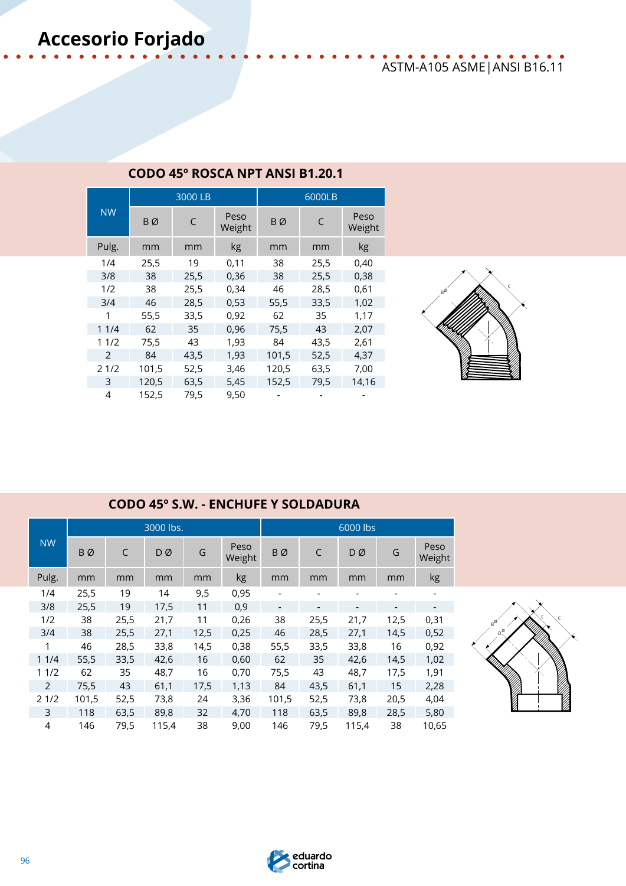## ASTM-A105 ASME|ANSI B16.11

|           |       | 3000 LB |                | 6000LB |      |                |  |  |
|-----------|-------|---------|----------------|--------|------|----------------|--|--|
| <b>NW</b> | BØ    | C       | Peso<br>Weight | BØ     | C    | Peso<br>Weight |  |  |
| Pulg.     | mm    | mm      | kg             | mm     | mm   | kg             |  |  |
| 1/4       | 25,5  | 19      | 0,11           | 38     | 25,5 | 0,40           |  |  |
| 3/8       | 38    | 25,5    | 0,36           | 38     | 25,5 | 0,38           |  |  |
| 1/2       | 38    | 25,5    | 0,34           | 46     | 28,5 | 0,61           |  |  |
| 3/4       | 46    | 28,5    | 0,53           | 55,5   | 33,5 | 1,02           |  |  |
| 1         | 55,5  | 33,5    | 0,92           | 62     | 35   | 1,17           |  |  |
| 11/4      | 62    | 35      | 0,96           | 75,5   | 43   | 2,07           |  |  |
| 11/2      | 75,5  | 43      | 1,93           | 84     | 43,5 | 2,61           |  |  |
| 2         | 84    | 43,5    | 1,93           | 101,5  | 52,5 | 4,37           |  |  |
| 21/2      | 101,5 | 52,5    | 3,46           | 120,5  | 63,5 | 7,00           |  |  |
| 3         | 120,5 | 63,5    | 5,45           | 152,5  | 79,5 | 14,16          |  |  |
| 4         | 152,5 | 79,5    | 9,50           |        |      |                |  |  |

### **CODO 45º ROSCA NPT ANSI B1.20.1**



### **CODO 45º S.W. - ENCHUFE Y SOLDADURA**

|                |       |      | 3000 lbs. |      |                | 6000 lbs                 |      |       |                          |                          |  |
|----------------|-------|------|-----------|------|----------------|--------------------------|------|-------|--------------------------|--------------------------|--|
| <b>NW</b>      | BØ    | C    | DØ        | G    | Peso<br>Weight | BØ                       | C    | DØ    | G                        | Peso<br>Weight           |  |
| Pulg.          | mm    | mm   | mm        | mm   | kg             | mm                       | mm   | mm    | mm                       | kg                       |  |
| 1/4            | 25,5  | 19   | 14        | 9,5  | 0,95           |                          |      |       |                          | $\overline{\phantom{a}}$ |  |
| 3/8            | 25,5  | 19   | 17,5      | 11   | 0,9            | $\overline{\phantom{a}}$ |      |       | $\overline{\phantom{a}}$ |                          |  |
| 1/2            | 38    | 25,5 | 21,7      | 11   | 0,26           | 38                       | 25,5 | 21,7  | 12,5                     | 0,31                     |  |
| 3/4            | 38    | 25,5 | 27,1      | 12,5 | 0,25           | 46                       | 28,5 | 27,1  | 14,5                     | 0,52                     |  |
| 1              | 46    | 28,5 | 33,8      | 14,5 | 0,38           | 55,5                     | 33,5 | 33,8  | 16                       | 0,92                     |  |
| 11/4           | 55,5  | 33,5 | 42,6      | 16   | 0,60           | 62                       | 35   | 42,6  | 14,5                     | 1,02                     |  |
| 11/2           | 62    | 35   | 48,7      | 16   | 0,70           | 75,5                     | 43   | 48,7  | 17,5                     | 1,91                     |  |
| $\overline{2}$ | 75,5  | 43   | 61,1      | 17,5 | 1,13           | 84                       | 43,5 | 61,1  | 15                       | 2,28                     |  |
| 21/2           | 101,5 | 52,5 | 73,8      | 24   | 3,36           | 101,5                    | 52,5 | 73,8  | 20,5                     | 4,04                     |  |
| 3              | 118   | 63,5 | 89,8      | 32   | 4,70           | 118                      | 63,5 | 89,8  | 28,5                     | 5,80                     |  |
| 4              | 146   | 79,5 | 115,4     | 38   | 9,00           | 146                      | 79,5 | 115,4 | 38                       | 10,65                    |  |



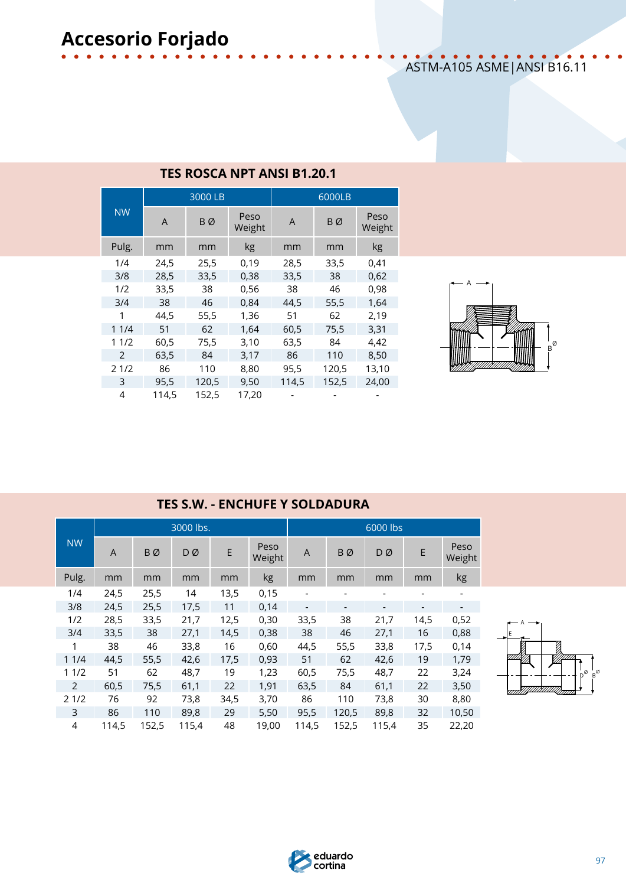## ASTM-A105 ASME|ANSI B16.11

|           |       | 3000 LB |                | 6000LB |       |                |  |  |
|-----------|-------|---------|----------------|--------|-------|----------------|--|--|
| <b>NW</b> | A     | BØ      | Peso<br>Weight | A      | BØ    | Peso<br>Weight |  |  |
| Pulg.     | mm    | mm      | kg             | mm     | mm    | kg             |  |  |
| 1/4       | 24,5  | 25,5    | 0,19           | 28,5   | 33,5  | 0,41           |  |  |
| 3/8       | 28,5  | 33,5    | 0,38           | 33,5   | 38    | 0,62           |  |  |
| 1/2       | 33,5  | 38      | 0,56           | 38     | 46    | 0,98           |  |  |
| 3/4       | 38    | 46      | 0,84           | 44.5   | 55,5  | 1,64           |  |  |
| 1         | 44,5  | 55,5    | 1,36           | 51     | 62    | 2,19           |  |  |
| 11/4      | 51    | 62      | 1,64           | 60,5   | 75,5  | 3,31           |  |  |
| 11/2      | 60,5  | 75,5    | 3,10           | 63,5   | 84    | 4,42           |  |  |
| 2         | 63,5  | 84      | 3,17           | 86     | 110   | 8,50           |  |  |
| 21/2      | 86    | 110     | 8,80           | 95,5   | 120,5 | 13,10          |  |  |
| 3         | 95.5  | 120,5   | 9,50           | 114,5  | 152,5 | 24,00          |  |  |
| 4         | 114.5 | 152,5   | 17,20          |        |       |                |  |  |

|  |  | <b>TES ROSCA NPT ANSI B1.20.1</b> |  |
|--|--|-----------------------------------|--|
|  |  |                                   |  |



|  | <b>TES S.W. - ENCHUFE Y SOLDADURA</b> |
|--|---------------------------------------|
|--|---------------------------------------|

|           |                |       | 3000 lbs. |      |                | 6000 lbs |                          |                              |                          |                |  |
|-----------|----------------|-------|-----------|------|----------------|----------|--------------------------|------------------------------|--------------------------|----------------|--|
| <b>NW</b> | $\overline{A}$ | BØ    | DØ        | E    | Peso<br>Weight | A        | BØ                       | DØ                           | E                        | Peso<br>Weight |  |
| Pulg.     | mm             | mm    | mm        | mm   | kg             | mm       | mm                       | mm                           | mm                       | kg             |  |
| 1/4       | 24,5           | 25,5  | 14        | 13,5 | 0,15           |          |                          |                              |                          |                |  |
| 3/8       | 24,5           | 25,5  | 17,5      | 11   | 0,14           |          | $\overline{\phantom{a}}$ | $\qquad \qquad \blacksquare$ | $\overline{\phantom{a}}$ |                |  |
| 1/2       | 28,5           | 33,5  | 21,7      | 12,5 | 0,30           | 33,5     | 38                       | 21,7                         | 14,5                     | 0,52           |  |
| 3/4       | 33,5           | 38    | 27,1      | 14,5 | 0,38           | 38       | 46                       | 27,1                         | 16                       | 0,88           |  |
| 1         | 38             | 46    | 33,8      | 16   | 0,60           | 44,5     | 55,5                     | 33,8                         | 17,5                     | 0,14           |  |
| 11/4      | 44,5           | 55,5  | 42,6      | 17,5 | 0,93           | 51       | 62                       | 42,6                         | 19                       | 1,79           |  |
| 11/2      | 51             | 62    | 48,7      | 19   | 1,23           | 60,5     | 75,5                     | 48,7                         | 22                       | 3,24           |  |
| 2         | 60,5           | 75,5  | 61,1      | 22   | 1,91           | 63,5     | 84                       | 61,1                         | 22                       | 3,50           |  |
| 21/2      | 76             | 92    | 73,8      | 34,5 | 3,70           | 86       | 110                      | 73,8                         | 30                       | 8,80           |  |
| 3         | 86             | 110   | 89,8      | 29   | 5,50           | 95,5     | 120,5                    | 89,8                         | 32                       | 10,50          |  |
| 4         | 114,5          | 152,5 | 115,4     | 48   | 19,00          | 114,5    | 152,5                    | 115,4                        | 35                       | 22,20          |  |



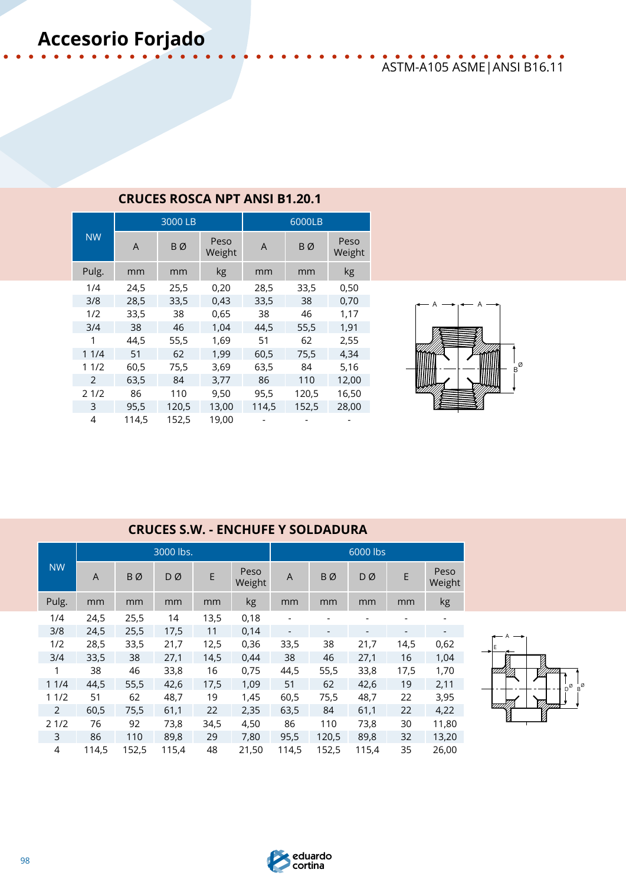## ASTM-A105 ASME|ANSI B16.11

|                |       | 3000 LB |                |       | 6000LB |                |  |  |  |
|----------------|-------|---------|----------------|-------|--------|----------------|--|--|--|
| <b>NW</b>      | A     | BØ      | Peso<br>Weight | A     | ΒØ     | Peso<br>Weight |  |  |  |
| Pulg.          | mm    | mm      | kg             | mm    | mm     | kg             |  |  |  |
| 1/4            | 24,5  | 25,5    | 0,20           | 28,5  | 33,5   | 0,50           |  |  |  |
| 3/8            | 28,5  | 33,5    | 0,43           | 33,5  | 38     | 0,70           |  |  |  |
| 1/2            | 33,5  | 38      | 0,65           | 38    | 46     | 1,17           |  |  |  |
| 3/4            | 38    | 46      | 1,04           | 44,5  | 55,5   | 1,91           |  |  |  |
| 1              | 44,5  | 55,5    | 1,69           | 51    | 62     | 2,55           |  |  |  |
| 11/4           | 51    | 62      | 1,99           | 60,5  | 75,5   | 4,34           |  |  |  |
| 11/2           | 60,5  | 75,5    | 3,69           | 63,5  | 84     | 5,16           |  |  |  |
| $\overline{2}$ | 63,5  | 84      | 3,77           | 86    | 110    | 12,00          |  |  |  |
| 21/2           | 86    | 110     | 9,50           | 95,5  | 120,5  | 16,50          |  |  |  |
| 3              | 95,5  | 120,5   | 13,00          | 114,5 | 152,5  | 28,00          |  |  |  |
| 4              | 114.5 | 152,5   | 19,00          |       |        |                |  |  |  |

### **CRUCES ROSCA NPT ANSI B1.20.1**



### **CRUCES S.W. - ENCHUFE Y SOLDADURA**

|                |       |           | 3000 lbs. |      |                | 6000 lbs |       |       |      |                |
|----------------|-------|-----------|-----------|------|----------------|----------|-------|-------|------|----------------|
| <b>NW</b>      | A     | <b>BØ</b> | DØ        | E    | Peso<br>Weight | A        | BØ    | DØ    | E    | Peso<br>Weight |
| Pulg.          | mm    | mm        | mm        | mm   | kg             | mm       | mm    | mm    | mm   | kg             |
| 1/4            | 24,5  | 25,5      | 14        | 13,5 | 0,18           |          |       |       |      |                |
| 3/8            | 24,5  | 25,5      | 17,5      | 11   | 0,14           |          |       |       |      |                |
| 1/2            | 28,5  | 33,5      | 21,7      | 12,5 | 0,36           | 33,5     | 38    | 21,7  | 14,5 | 0,62           |
| 3/4            | 33,5  | 38        | 27,1      | 14,5 | 0,44           | 38       | 46    | 27,1  | 16   | 1,04           |
| 1              | 38    | 46        | 33,8      | 16   | 0,75           | 44,5     | 55,5  | 33,8  | 17,5 | 1,70           |
| 11/4           | 44,5  | 55,5      | 42,6      | 17,5 | 1,09           | 51       | 62    | 42,6  | 19   | 2,11           |
| 11/2           | 51    | 62        | 48,7      | 19   | 1,45           | 60,5     | 75,5  | 48,7  | 22   | 3,95           |
| $\overline{2}$ | 60,5  | 75,5      | 61,1      | 22   | 2,35           | 63,5     | 84    | 61,1  | 22   | 4,22           |
| 21/2           | 76    | 92        | 73,8      | 34,5 | 4,50           | 86       | 110   | 73,8  | 30   | 11,80          |
| 3              | 86    | 110       | 89,8      | 29   | 7,80           | 95,5     | 120,5 | 89,8  | 32   | 13,20          |
| 4              | 114,5 | 152,5     | 115,4     | 48   | 21,50          | 114,5    | 152,5 | 115,4 | 35   | 26,00          |



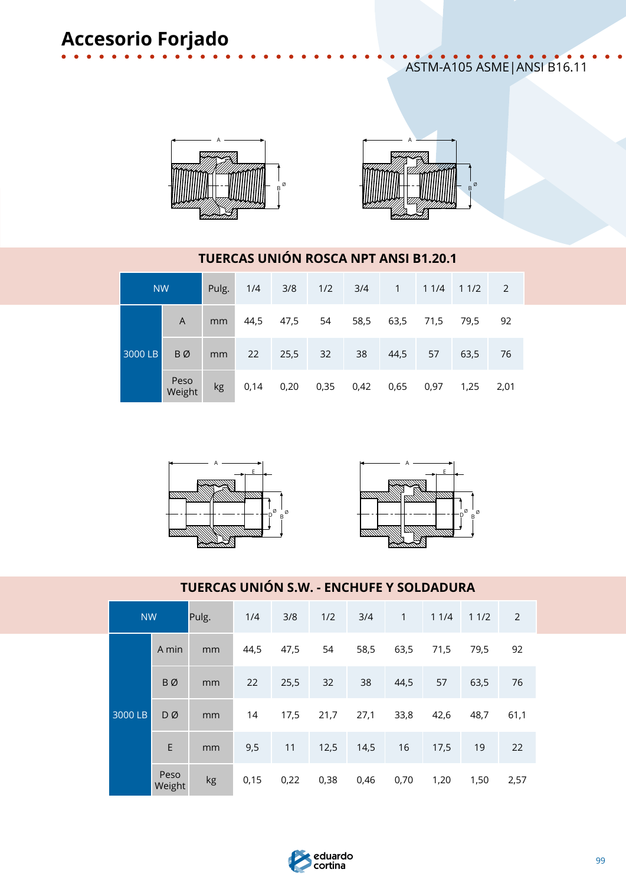ASTM-A105 ASME|ANSI B16.11





### **TUERCAS UNIÓN ROSCA NPT ANSI B1.20.1**

| <b>NW</b> |                |    | Pulg. 1/4 | 3/8                      |    |    |      |      | $1/2$ $3/4$ 1 $11/4$ 11/2 2 |      |
|-----------|----------------|----|-----------|--------------------------|----|----|------|------|-----------------------------|------|
|           | A              | mm |           | 44,5 47,5                | 54 |    |      |      | 58,5 63,5 71,5 79,5         | -92  |
| 3000 LB   | BØ             |    | mm 22     | 25,5                     | 32 | 38 | 44,5 | 57   | 63,5                        | 76   |
|           | Peso<br>Weight | kg |           | 0,14 0,20 0,35 0,42 0,65 |    |    |      | 0,97 | 1,25                        | 2,01 |





### **TUERCAS UNIÓN S.W. - ENCHUFE Y SOLDADURA**

| <b>NW</b> |                | Pulg. | 1/4  | 3/8  | 1/2  | 3/4  | $\mathbf{1}$ | 11/4 | 11/2 | $\overline{2}$ |
|-----------|----------------|-------|------|------|------|------|--------------|------|------|----------------|
|           | A min          | mm    | 44,5 | 47,5 | 54   | 58,5 | 63,5         | 71,5 | 79,5 | 92             |
|           | <b>BØ</b>      | mm    | 22   | 25,5 | 32   | 38   | 44,5         | 57   | 63,5 | 76             |
| 3000 LB   | DØ             | mm    | 14   | 17,5 | 21,7 | 27,1 | 33,8         | 42,6 | 48,7 | 61,1           |
|           | E              | mm    | 9,5  | 11   | 12,5 | 14,5 | 16           | 17,5 | 19   | 22             |
|           | Peso<br>Weight | kg    | 0,15 | 0,22 | 0,38 | 0,46 | 0,70         | 1,20 | 1,50 | 2,57           |

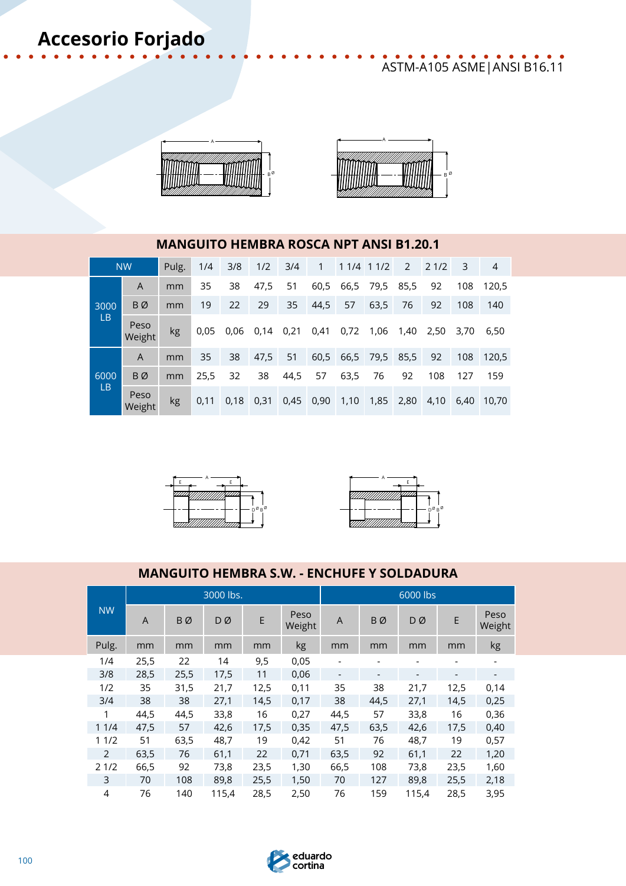## ASTM-A105 ASME|ANSI B16.11





### **MANGUITO HEMBRA ROSCA NPT ANSI B1.20.1**

|                   | <b>NW</b>      | Pulg. | 1/4  | 3/8  | 1/2  | 3/4  | $\mathbf{1}$ |      | 1 1/4 1 1/2 | 2    | 21/2 | 3    | 4     |
|-------------------|----------------|-------|------|------|------|------|--------------|------|-------------|------|------|------|-------|
|                   | A              | mm    | 35   | 38   | 47,5 | 51   | 60,5         | 66,5 | 79,5        | 85,5 | 92   | 108  | 120.5 |
| 3000<br><b>LB</b> | BØ             | mm    | 19   | 22   | 29   | 35   | 44,5         | 57   | 63,5        | 76   | 92   | 108  | 140   |
|                   | Peso<br>Weight | kg    | 0.05 | 0.06 | 0,14 | 0,21 | 0,41         | 0,72 | 1,06        | 1,40 | 2,50 | 3,70 | 6,50  |
|                   | A              | mm    | 35   | 38   | 47,5 | 51   | 60,5         |      | 66,5 79,5   | 85,5 | 92   | 108  | 120,5 |
| 6000<br><b>LB</b> | BØ             | mm    | 25,5 | 32   | 38   | 44,5 | 57           | 63,5 | 76          | 92   | 108  | 127  | 159   |
|                   | Peso<br>Weight | kg    | 0.11 | 0,18 | 0,31 | 0,45 | 0,90         | 1,10 | 1,85        | 2,80 | 4,10 | 6.40 | 10.70 |





### **MANGUITO HEMBRA S.W. - ENCHUFE Y SOLDADURA**

|           |                |           | 3000 lbs. |      |                |                          |                          | 6000 lbs |      |                          |
|-----------|----------------|-----------|-----------|------|----------------|--------------------------|--------------------------|----------|------|--------------------------|
| <b>NW</b> | $\overline{A}$ | <b>BØ</b> | DØ        | E    | Peso<br>Weight | $\overline{A}$           | <b>B</b> Ø               | DØ       | E    | Peso<br>Weight           |
| Pulg.     | mm             | mm        | mm        | mm   | kg             | mm                       | mm                       | mm       | mm   | kg                       |
| 1/4       | 25,5           | 22        | 14        | 9,5  | 0,05           |                          |                          |          |      | $\overline{\phantom{0}}$ |
| 3/8       | 28,5           | 25,5      | 17,5      | 11   | 0,06           | $\overline{\phantom{a}}$ | $\overline{\phantom{a}}$ | -        |      | $\overline{\phantom{a}}$ |
| 1/2       | 35             | 31,5      | 21,7      | 12,5 | 0,11           | 35                       | 38                       | 21,7     | 12,5 | 0,14                     |
| 3/4       | 38             | 38        | 27,1      | 14,5 | 0,17           | 38                       | 44,5                     | 27,1     | 14,5 | 0,25                     |
| 1         | 44,5           | 44,5      | 33,8      | 16   | 0,27           | 44,5                     | 57                       | 33,8     | 16   | 0,36                     |
| 11/4      | 47,5           | 57        | 42,6      | 17,5 | 0,35           | 47,5                     | 63,5                     | 42,6     | 17,5 | 0,40                     |
| 11/2      | 51             | 63,5      | 48,7      | 19   | 0,42           | 51                       | 76                       | 48,7     | 19   | 0,57                     |
| 2         | 63,5           | 76        | 61,1      | 22   | 0,71           | 63,5                     | 92                       | 61,1     | 22   | 1,20                     |
| 21/2      | 66,5           | 92        | 73,8      | 23,5 | 1,30           | 66,5                     | 108                      | 73,8     | 23,5 | 1,60                     |
| 3         | 70             | 108       | 89,8      | 25,5 | 1,50           | 70                       | 127                      | 89,8     | 25,5 | 2,18                     |
| 4         | 76             | 140       | 115.4     | 28,5 | 2,50           | 76                       | 159                      | 115.4    | 28,5 | 3,95                     |

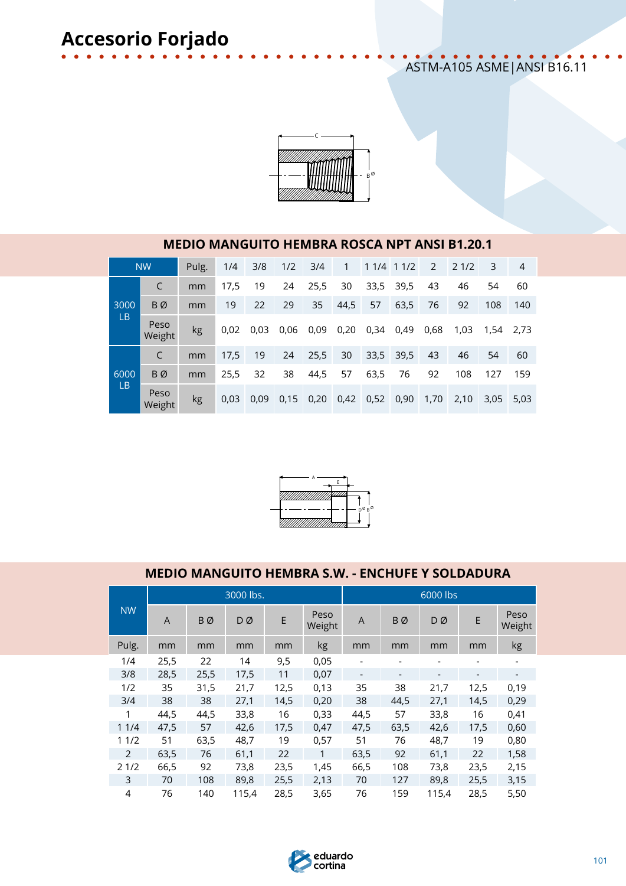### ASTM-A105 ASME|ANSI B16.11



### **MEDIO MANGUITO HEMBRA ROSCA NPT ANSI B1.20.1**

|                   | <b>NW</b>      | Pulg. | 1/4  | 3/8  | 1/2  | 3/4  | 1    | 1 1/4 1 1/2 |      | 2    | 21/2 | 3    | $\overline{4}$ |
|-------------------|----------------|-------|------|------|------|------|------|-------------|------|------|------|------|----------------|
|                   | C              | mm    | 17,5 | 19   | 24   | 25,5 | 30   | 33,5        | 39,5 | 43   | 46   | 54   | 60             |
| 3000              | BØ             | mm    | 19   | 22   | 29   | 35   | 44,5 | 57          | 63,5 | 76   | 92   | 108  | 140            |
| LВ                | Peso<br>Weight | kg    | 0,02 | 0,03 | 0,06 | 0,09 | 0,20 | 0,34        | 0,49 | 0,68 | 1,03 | 1,54 | 2.73           |
|                   | C              | mm    | 17,5 | 19   | 24   | 25,5 | 30   | 33,5        | 39,5 | 43   | 46   | 54   | 60             |
| 6000<br><b>LB</b> | BØ             | mm    | 25,5 | 32   | 38   | 44,5 | 57   | 63,5        | 76   | 92   | 108  | 127  | 159            |
|                   | Peso<br>Weight | kg    | 0,03 | 0,09 | 0,15 | 0,20 | 0,42 | 0,52        | 0,90 | 1,70 | 2,10 | 3,05 | 5,03           |



### **MEDIO MANGUITO HEMBRA S.W. - ENCHUFE Y SOLDADURA**

|           |      |      | 3000 lbs. |      |                |      |      | 6000 lbs                 |                          |                |
|-----------|------|------|-----------|------|----------------|------|------|--------------------------|--------------------------|----------------|
| <b>NW</b> | A    | BØ   | DØ        | E    | Peso<br>Weight | A    | BØ   | DØ                       | E                        | Peso<br>Weight |
| Pulg.     | mm   | mm   | mm        | mm   | kg             | mm   | mm   | mm                       | mm                       | kg             |
| 1/4       | 25,5 | 22   | 14        | 9,5  | 0,05           |      |      |                          |                          |                |
| 3/8       | 28,5 | 25,5 | 17,5      | 11   | 0,07           | -    |      | $\overline{\phantom{a}}$ | $\overline{\phantom{a}}$ |                |
| 1/2       | 35   | 31,5 | 21,7      | 12,5 | 0,13           | 35   | 38   | 21,7                     | 12,5                     | 0,19           |
| 3/4       | 38   | 38   | 27,1      | 14,5 | 0,20           | 38   | 44,5 | 27,1                     | 14,5                     | 0,29           |
| 1         | 44,5 | 44,5 | 33,8      | 16   | 0,33           | 44,5 | 57   | 33,8                     | 16                       | 0,41           |
| 11/4      | 47,5 | 57   | 42,6      | 17,5 | 0,47           | 47,5 | 63,5 | 42,6                     | 17,5                     | 0,60           |
| 11/2      | 51   | 63,5 | 48,7      | 19   | 0,57           | 51   | 76   | 48,7                     | 19                       | 0,80           |
| 2         | 63,5 | 76   | 61,1      | 22   | 1              | 63,5 | 92   | 61,1                     | 22                       | 1,58           |
| 21/2      | 66,5 | 92   | 73,8      | 23,5 | 1,45           | 66,5 | 108  | 73,8                     | 23,5                     | 2,15           |
| 3         | 70   | 108  | 89,8      | 25,5 | 2,13           | 70   | 127  | 89,8                     | 25,5                     | 3,15           |
| 4         | 76   | 140  | 115,4     | 28,5 | 3,65           | 76   | 159  | 115,4                    | 28,5                     | 5,50           |

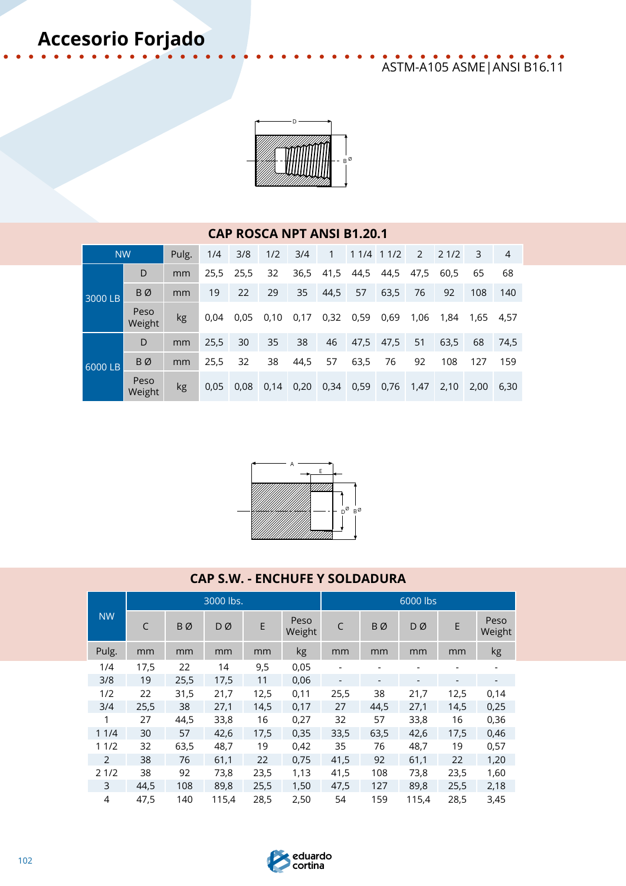## ASTM-A105 ASME|ANSI B16.11



### **CAP ROSCA NPT ANSI B1.20.1**

| <b>NW</b> |                | Pulg.          | 1/4  | 3/8  | 1/2  | 3/4  | $\sqrt{1}$ |           | 1 1/4 1 1/2 |      | 2 2 1/2 | 3    | 4         |
|-----------|----------------|----------------|------|------|------|------|------------|-----------|-------------|------|---------|------|-----------|
|           | D              | mm             | 25,5 | 25,5 | 32   | 36,5 | 41,5       | 44,5      | 44,5        | 47,5 | 60,5    | 65   | 68        |
| 3000 LB   | BØ             | mm             | 19   | 22   | 29   | 35   | 44,5       | 57        | 63,5        | 76   | 92      | 108  | 140       |
|           | Peso<br>Weight | kg             | 0,04 | 0,05 | 0,10 | 0,17 |            | 0,32 0,59 | 0,69        | 1,06 | 1,84    |      | 1,65 4,57 |
| 6000 LB   | D              | mm             | 25,5 | 30   | 35   | 38   | 46         |           | 47,5 47,5   | 51   | 63,5    | 68   | 74,5      |
|           | BØ             | m <sub>m</sub> | 25,5 | 32   | 38   | 44,5 | 57         | 63,5      | 76          | 92   | 108     | 127  | 159       |
|           | Peso<br>Weight | <b>kg</b>      | 0,05 | 0,08 | 0,14 | 0,20 | 0,34       | 0,59      | 0,76        | 1,47 | 2,10    | 2,00 | 6,30      |



### **CAP S.W. - ENCHUFE Y SOLDADURA**

|                |      |           | 3000 lbs. |      |                |                              |                          | 6000 lbs |      |                          |
|----------------|------|-----------|-----------|------|----------------|------------------------------|--------------------------|----------|------|--------------------------|
| <b>NW</b>      | C    | <b>BØ</b> | DØ        | E    | Peso<br>Weight | C                            | BØ                       | DØ       | E    | Peso<br>Weight           |
| Pulg.          | mm   | mm        | mm        | mm   | kg             | mm                           | mm                       | mm       | mm   | kg                       |
| 1/4            | 17,5 | 22        | 14        | 9,5  | 0,05           |                              |                          |          |      |                          |
| 3/8            | 19   | 25,5      | 17,5      | 11   | 0,06           | $\qquad \qquad \blacksquare$ | $\overline{\phantom{a}}$ | -        |      | $\overline{\phantom{a}}$ |
| 1/2            | 22   | 31,5      | 21,7      | 12,5 | 0,11           | 25,5                         | 38                       | 21,7     | 12,5 | 0,14                     |
| 3/4            | 25,5 | 38        | 27,1      | 14,5 | 0,17           | 27                           | 44,5                     | 27,1     | 14,5 | 0,25                     |
| 1              | 27   | 44,5      | 33,8      | 16   | 0,27           | 32                           | 57                       | 33,8     | 16   | 0,36                     |
| 11/4           | 30   | 57        | 42,6      | 17,5 | 0,35           | 33,5                         | 63,5                     | 42,6     | 17,5 | 0,46                     |
| 11/2           | 32   | 63,5      | 48,7      | 19   | 0,42           | 35                           | 76                       | 48,7     | 19   | 0,57                     |
| 2              | 38   | 76        | 61,1      | 22   | 0,75           | 41,5                         | 92                       | 61,1     | 22   | 1,20                     |
| 21/2           | 38   | 92        | 73,8      | 23,5 | 1,13           | 41,5                         | 108                      | 73,8     | 23,5 | 1,60                     |
| 3              | 44,5 | 108       | 89,8      | 25,5 | 1,50           | 47,5                         | 127                      | 89,8     | 25,5 | 2,18                     |
| $\overline{4}$ | 47,5 | 140       | 115,4     | 28,5 | 2,50           | 54                           | 159                      | 115,4    | 28,5 | 3,45                     |

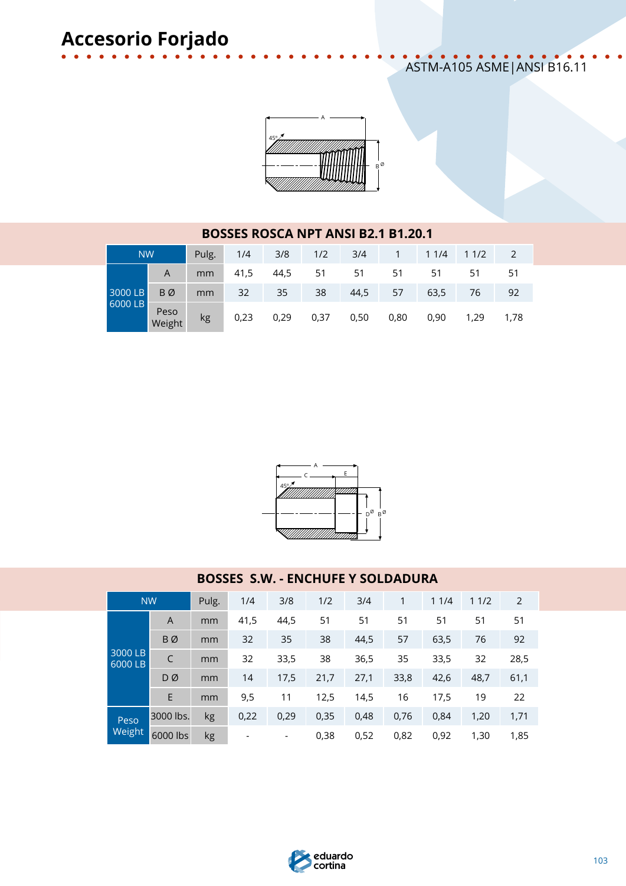### ASTM-A105 ASME|ANSI B16.11



#### **BOSSES ROSCA NPT ANSI B2.1 B1.20.1** NW Pulg. 1/4 3/8 1/2 3/4 1 1 1/4 1 1/2 2 3000 LB 6000 LB A mm 41,5 44,5 51 51 51 51 51 51 B Ø mm 32 35 38 44,5 57 63,5 76 92 Peso<br>Weight Weight kg 0,23 0,29 0,37 0,50 0,80 0,90 1,29 1,78



### **BOSSES S.W. - ENCHUFE Y SOLDADURA**

|                      | <b>NW</b> | Pulg. | 1/4  | 3/8  | 1/2  | 3/4  | 1    | 11/4 | 11/2 | 2    |
|----------------------|-----------|-------|------|------|------|------|------|------|------|------|
|                      | A         | mm    | 41,5 | 44,5 | 51   | 51   | 51   | 51   | 51   | 51   |
|                      | BØ        | mm    | 32   | 35   | 38   | 44,5 | 57   | 63,5 | 76   | 92   |
| $3000$ LB<br>6000 LB |           | mm    | 32   | 33,5 | 38   | 36,5 | 35   | 33,5 | 32   | 28,5 |
|                      | DØ        | mm    | 14   | 17,5 | 21,7 | 27,1 | 33,8 | 42,6 | 48,7 | 61,1 |
|                      | E         | mm    | 9,5  | 11   | 12,5 | 14,5 | 16   | 17,5 | 19   | 22   |
| Peso<br>Weight       | 3000 lbs. | kg    | 0,22 | 0,29 | 0,35 | 0,48 | 0,76 | 0,84 | 1,20 | 1,71 |
|                      | 6000 lbs  | kg    |      | -    | 0,38 | 0,52 | 0,82 | 0,92 | 1,30 | 1,85 |

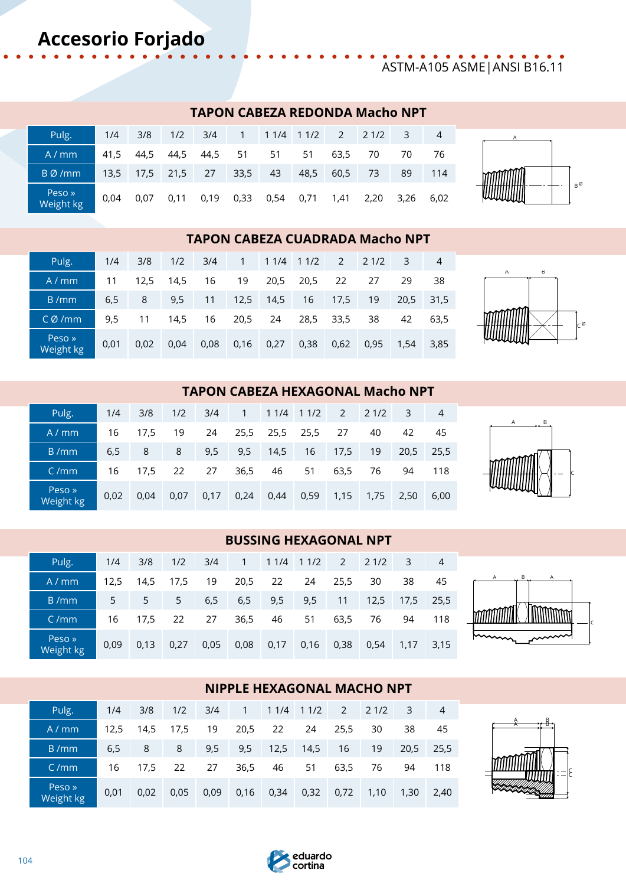## ASTM-A105 ASME|ANSI B16.11

### **TAPON CABEZA REDONDA Macho NPT**

| Pulg.               | 1/4  | 3/8                 | 1/2  | 3/4  |      |                |      |      | 1 1 1/4 1 1/2 2 2 1/2 | -3   | $\overline{4}$ |
|---------------------|------|---------------------|------|------|------|----------------|------|------|-----------------------|------|----------------|
| A/mm                | 41.5 | 44.5                | 44,5 | 44,5 | 51   | 51             | 51   | 63,5 | 70                    | 70   | 76             |
| BØ/mm               |      | $13.5$ 17.5 21.5 27 |      |      | 33,5 | 43             | 48,5 | 60,5 | 73                    | 89   | 114            |
| Peso »<br>Weight kg | 0.04 | 0.07                | 0.11 | 0,19 | 0,33 | 0,54 0,71 1,41 |      |      | 2,20                  | 3,26 | 6.02           |



### **TAPON CABEZA CUADRADA Macho NPT**

| Pulg.               | 1/4  | 3/8  | 1/2  | 3/4  |         |           | 1 1 1/4 1 1/2         |           | $2 \t21/2$ | 3    | 4         |
|---------------------|------|------|------|------|---------|-----------|-----------------------|-----------|------------|------|-----------|
| A/mm                | 11   | 12.5 | 14,5 | 16   | 19      |           | 20,5 20,5             | 22        | 27         | 29   | 38        |
| B/mm                | 6,5  | 8    | 9,5  | 11   |         | 12,5 14,5 | 16                    | 17,5      | 19         |      | 20,5 31,5 |
| CØ/mm               | 9.5  | 11   | 14.5 | 16   | 20,5 24 |           |                       | 28,5 33,5 | 38         | 42   | 63.5      |
| Peso »<br>Weight kg | 0.01 | 0.02 | 0.04 | 0,08 | 0,16    |           | $0,27$ 0,38 0,62 0,95 |           |            | 1,54 | 3,85      |



A B

### **TAPON CABEZA HEXAGONAL Macho NPT**

| Pulg.               | 1/4  | 3/8  | 1/2  | 3/4  |      | $1 \quad 11/4 \quad 11/2 \quad 2 \quad 21/2$ |    |         |      | $\overline{\mathbf{3}}$ | $\overline{4}$ |
|---------------------|------|------|------|------|------|----------------------------------------------|----|---------|------|-------------------------|----------------|
| A/mm                | 16   | 17.5 | 19   | 24   |      | 25,5 25,5 25,5                               |    | 27      | 40   | 42                      | 45             |
| B/mm                | 6,5  | 8    | 8    | 9,5  | 9,5  | 14,5                                         |    | 16 17,5 | 19   | 20.5                    | 25,5           |
| C/mm                | 16   | 17.5 | 22   | 27   | 36,5 | 46                                           | 51 | 63,5    | 76   | 94                      | 118            |
| Peso »<br>Weight kg | 0.02 | 0.04 | 0.07 | 0,17 |      | $0,24$ 0,44 0,59                             |    | 1,15    | 1,75 | 2.50                    | 6,00           |

### **BUSSING HEXAGONAL NPT**

| Pulg.               | 1/4            | 3/8  | 1/2  | 3/4  | $1 \quad \blacksquare$ |      | 1 1/4 1 1/2 |                | $2 \t21/2$ | $-3$        | 4         |
|---------------------|----------------|------|------|------|------------------------|------|-------------|----------------|------------|-------------|-----------|
| A/mm                | 12.5           | 14.5 | 17.5 | 19   | 20,5                   | 22   | 24          | 25,5           | 30         | 38          | 45        |
| B/mm                | 5 <sub>1</sub> | 5    | 5    | 6,5  | 6,5                    | 9,5  | 9,5         | 11             | 12,5       |             | 17,5 25,5 |
| C/mm                | 16             | 17.5 | 22   | 27   | 36,5                   | 46   | 51          | 63,5           | 76         | 94          | 118       |
| Peso »<br>Weight kg | 0.09           | 0.13 | 0.27 | 0,05 | 0,08                   | 0,17 |             | 0,16 0,38 0,54 |            | $1,17$ 3,15 |           |



C

### **NIPPLE HEXAGONAL MACHO NPT**

| Pulg.               | 1/4  | 3/8     | 1/2  | 3/4  |      | $1 \quad 11/4 \quad 11/2 \quad 2 \quad 21/2$ |    |               |                | $-3$      | -4  |
|---------------------|------|---------|------|------|------|----------------------------------------------|----|---------------|----------------|-----------|-----|
| A/mm                | 12.5 | 14.5    | 17.5 | 19   | 20,5 | 22                                           | 24 | 25,5          | 30             | 38        | 45  |
| B/mm                | 6,5  | 8       | 8    | 9,5  |      | 9,5 12,5 14,5                                |    | 16            | 19             | 20,5 25,5 |     |
| C/mm                |      | 16 17.5 | 22   | 27   | 36,5 | 46                                           | 51 | 63,5          | 76             | 94        | 118 |
| Peso »<br>Weight kg | 0.01 | 0.02    | 0,05 | 0,09 |      | $0,16$ 0,34                                  |    | $0,32$ $0,72$ | 1,10 1,30 2,40 |           |     |



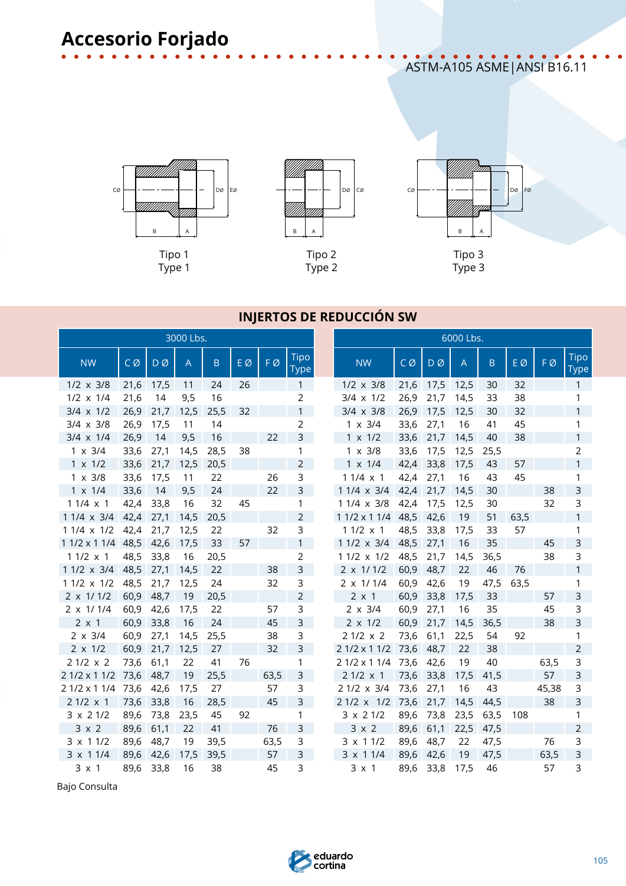ASTM-A105 ASME|ANSI B16.11





Type 2



### **INJERTOS DE REDUCCIÓN SW**

|                   |      |      | 3000 Lbs.      |         |    |      |                            | 6000 Lbs.          |      |                |                |         |      |       |                     |
|-------------------|------|------|----------------|---------|----|------|----------------------------|--------------------|------|----------------|----------------|---------|------|-------|---------------------|
| <b>NW</b>         | CØ   | DØ   | $\overline{A}$ | $\sf B$ | EØ | FØ   | <b>Tipo</b><br><b>Type</b> | <b>NW</b>          | CØ   | $D\varnothing$ | $\overline{A}$ | $\sf B$ | EØ   | FØ    | <b>Tipo</b><br>Type |
| $1/2 \times 3/8$  | 21,6 | 17,5 | 11             | 24      | 26 |      | $\mathbf{1}$               | $1/2 \times 3/8$   | 21,6 | 17,5           | 12,5           | 30      | 32   |       | $\mathbf{1}$        |
| $1/2 \times 1/4$  | 21,6 | 14   | 9,5            | 16      |    |      | $\overline{2}$             | $3/4 \times 1/2$   | 26,9 | 21,7           | 14,5           | 33      | 38   |       | 1                   |
| $3/4 \times 1/2$  | 26,9 | 21,7 | 12,5           | 25,5    | 32 |      | $\mathbf{1}$               | $3/4 \times 3/8$   | 26,9 | 17,5           | 12,5           | 30      | 32   |       | $\mathbf{1}$        |
| $3/4 \times 3/8$  | 26,9 | 17,5 | 11             | 14      |    |      | $\overline{2}$             | $1 \times 3/4$     | 33,6 | 27,1           | 16             | 41      | 45   |       | 1                   |
| $3/4 \times 1/4$  | 26,9 | 14   | 9,5            | 16      |    | 22   | 3                          | $1 \times 1/2$     | 33,6 | 21,7           | 14,5           | 40      | 38   |       | $\mathbf{1}$        |
| $1 \times 3/4$    | 33,6 | 27,1 | 14,5           | 28,5    | 38 |      | 1                          | $1 \times 3/8$     | 33,6 | 17,5           | 12,5           | 25,5    |      |       | $\overline{2}$      |
| $1 \times 1/2$    | 33,6 | 21,7 | 12,5           | 20,5    |    |      | $\overline{2}$             | $1 \times 1/4$     | 42,4 | 33,8           | 17,5           | 43      | 57   |       | $\mathbf{1}$        |
| $1 \times 3/8$    | 33,6 | 17,5 | 11             | 22      |    | 26   | $\mathsf{3}$               | $11/4 \times 1$    | 42,4 | 27,1           | 16             | 43      | 45   |       | 1                   |
| $1 \times 1/4$    | 33,6 | 14   | 9,5            | 24      |    | 22   | 3                          | 1 1/4 x 3/4        | 42,4 | 21,7           | 14,5           | 30      |      | 38    | $\mathsf{3}$        |
| $11/4 \times 1$   | 42,4 | 33,8 | 16             | 32      | 45 |      | 1                          | 1 1/4 x 3/8        | 42,4 | 17,5           | 12,5           | 30      |      | 32    | 3                   |
| 1 1/4 x 3/4       | 42,4 | 27,1 | 14,5           | 20,5    |    |      | $\overline{2}$             | $11/2 \times 11/4$ | 48,5 | 42,6           | 19             | 51      | 63,5 |       | $\mathbf{1}$        |
| 1 1/4 x 1/2       | 42,4 | 21,7 | 12,5           | 22      |    | 32   | 3                          | $11/2 \times 1$    | 48,5 | 33,8           | 17,5           | 33      | 57   |       | 1                   |
| 1 1/2 x 1 1/4     | 48,5 | 42,6 | 17,5           | 33      | 57 |      | $\mathbf{1}$               | 1 1/2 x 3/4        | 48,5 | 27,1           | 16             | 35      |      | 45    | $\mathsf{3}$        |
| $11/2 \times 1$   | 48,5 | 33,8 | 16             | 20,5    |    |      | $\overline{2}$             | 1 1/2 x 1/2        | 48,5 | 21,7           | 14,5           | 36,5    |      | 38    | 3                   |
| 1 1/2 x 3/4       | 48,5 | 27,1 | 14,5           | 22      |    | 38   | 3                          | $2 \times 1/1/2$   | 60,9 | 48,7           | 22             | 46      | 76   |       | $\mathbf{1}$        |
| $11/2 \times 1/2$ | 48,5 | 21,7 | 12,5           | 24      |    | 32   | 3                          | $2 \times 1/1/4$   | 60,9 | 42,6           | 19             | 47,5    | 63,5 |       | $\mathbf{1}$        |
| $2 \times 1/1/2$  | 60,9 | 48,7 | 19             | 20,5    |    |      | $\overline{2}$             | $2 \times 1$       | 60,9 | 33,8           | 17,5           | 33      |      | 57    | $\overline{3}$      |
| $2 \times 1/1/4$  | 60,9 | 42,6 | 17,5           | 22      |    | 57   | 3                          | $2 \times 3/4$     | 60,9 | 27,1           | 16             | 35      |      | 45    | 3                   |
| $2 \times 1$      | 60,9 | 33,8 | 16             | 24      |    | 45   | $\mathsf 3$                | $2 \times 1/2$     | 60,9 | 21,7           | 14,5           | 36,5    |      | 38    | $\overline{3}$      |
| $2 \times 3/4$    | 60,9 | 27,1 | 14,5           | 25,5    |    | 38   | 3                          | $21/2 \times 2$    | 73,6 | 61,1           | 22,5           | 54      | 92   |       | 1                   |
| $2 \times 1/2$    | 60,9 | 21,7 | 12,5           | 27      |    | 32   | $\mathsf 3$                | 2 1/2 x 1 1/2      | 73,6 | 48,7           | 22             | 38      |      |       | $\overline{2}$      |
| $21/2 \times 2$   | 73,6 | 61,1 | 22             | 41      | 76 |      | 1                          | 2 1/2 x 1 1/4      | 73,6 | 42,6           | 19             | 40      |      | 63,5  | 3                   |
| 2 1/2 x 1 1/2     | 73,6 | 48,7 | 19             | 25,5    |    | 63,5 | $\mathsf{3}$               | 2 1/2 x 1          | 73,6 | 33,8           | 17,5           | 41,5    |      | 57    | $\overline{3}$      |
| 2 1/2 x 1 1/4     | 73,6 | 42,6 | 17,5           | 27      |    | 57   | 3                          | 2 1/2 x 3/4        | 73,6 | 27,1           | 16             | 43      |      | 45,38 | 3                   |
| $21/2 \times 1$   | 73,6 | 33,8 | 16             | 28,5    |    | 45   | $\mathsf{3}$               | $21/2 \times 1/2$  | 73,6 | 21,7           | 14,5           | 44,5    |      | 38    | $\overline{3}$      |
| $3 \times 21/2$   | 89,6 | 73,8 | 23,5           | 45      | 92 |      | 1                          | $3 \times 21/2$    | 89,6 | 73,8           | 23,5           | 63,5    | 108  |       | 1                   |
| $3 \times 2$      | 89,6 | 61,1 | 22             | 41      |    | 76   | $\mathsf{3}$               | $3 \times 2$       | 89,6 | 61,1           | 22,5           | 47,5    |      |       | $\overline{2}$      |
| $3 \times 11/2$   | 89,6 | 48,7 | 19             | 39,5    |    | 63,5 | 3                          | $3 \times 11/2$    | 89,6 | 48,7           | 22             | 47,5    |      | 76    | 3                   |
| 3 x 1 1/4         | 89,6 | 42,6 | 17,5           | 39,5    |    | 57   | 3                          | 3 x 1 1/4          | 89,6 | 42,6           | 19             | 47,5    |      | 63,5  | $\mathsf{3}$        |
| $3 \times 1$      | 89,6 | 33,8 | 16             | 38      |    | 45   | 3                          | $3 \times 1$       | 89,6 | 33,8           | 17,5           | 46      |      | 57    | 3                   |

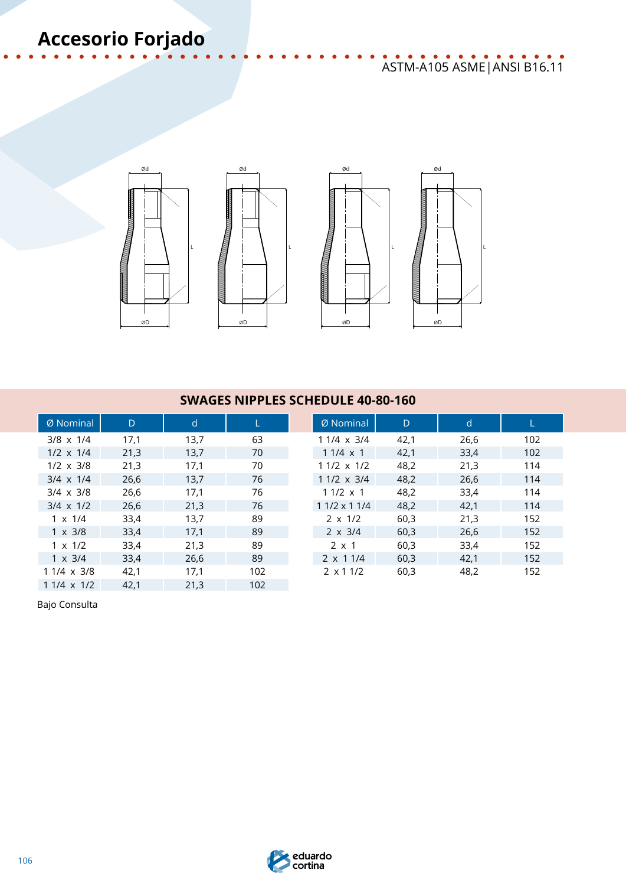## ASTM-A105 ASME|ANSI B16.11

L



### **SWAGES NIPPLES SCHEDULE 40-80-160**

| Ø Nominal         | D    | $\mathsf{d}$ |     | Ø Nominal          | D    | d    |     |
|-------------------|------|--------------|-----|--------------------|------|------|-----|
| $3/8 \times 1/4$  | 17,1 | 13,7         | 63  | $11/4 \times 3/4$  | 42,1 | 26,6 | 102 |
| $1/2 \times 1/4$  | 21,3 | 13,7         | 70  | $11/4 \times 1$    | 42,1 | 33,4 | 102 |
| $1/2 \times 3/8$  | 21,3 | 17,1         | 70  | $11/2 \times 1/2$  | 48,2 | 21,3 | 114 |
| $3/4 \times 1/4$  | 26,6 | 13,7         | 76  | $11/2 \times 3/4$  | 48,2 | 26,6 | 114 |
| $3/4 \times 3/8$  | 26,6 | 17,1         | 76  | $11/2 \times 1$    | 48,2 | 33,4 | 114 |
| $3/4 \times 1/2$  | 26,6 | 21,3         | 76  | $11/2 \times 11/4$ | 48,2 | 42,1 | 114 |
| $1 \times 1/4$    | 33,4 | 13,7         | 89  | $2 \times 1/2$     | 60,3 | 21,3 | 152 |
| $1 \times 3/8$    | 33,4 | 17,1         | 89  | $2 \times 3/4$     | 60,3 | 26,6 | 152 |
| $1 \times 1/2$    | 33,4 | 21,3         | 89  | $2 \times 1$       | 60.3 | 33,4 | 152 |
| $1 \times 3/4$    | 33,4 | 26,6         | 89  | $2 \times 11/4$    | 60,3 | 42.1 | 152 |
| $11/4 \times 3/8$ | 42,1 | 17,1         | 102 | $2 \times 11/2$    | 60,3 | 48,2 | 152 |
| $11/4 \times 1/2$ | 42,1 | 21,3         | 102 |                    |      |      |     |

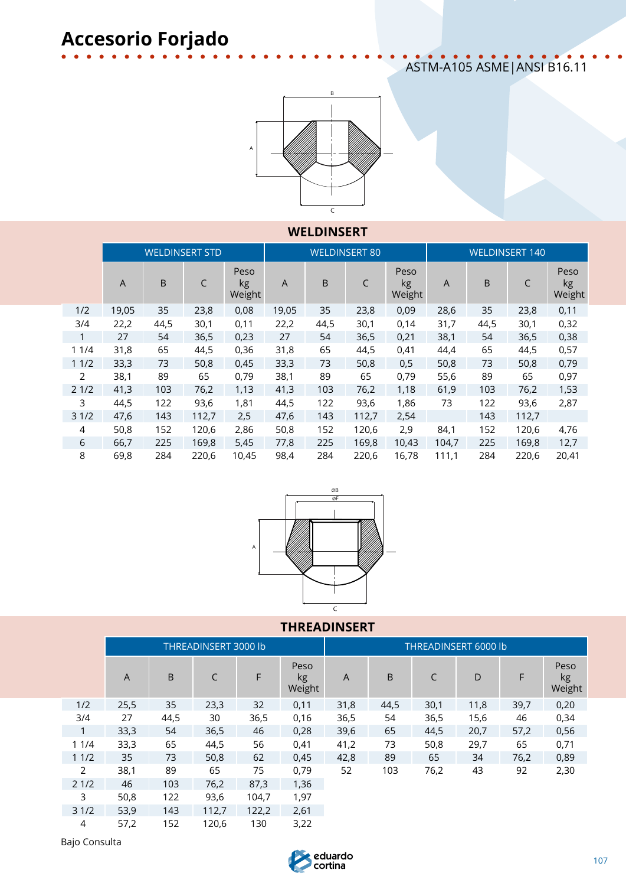## ASTM-A105 ASME|ANSI B16.11



### **WELDINSERT**

|              |                |         | <b>WELDINSERT STD</b> |                      |                |      | <b>WELDINSERT 80</b> |                      | <b>WELDINSERT 140</b> |      |       |                      |  |  |
|--------------|----------------|---------|-----------------------|----------------------|----------------|------|----------------------|----------------------|-----------------------|------|-------|----------------------|--|--|
|              | $\overline{A}$ | $\sf B$ | C                     | Peso<br>kg<br>Weight | $\overline{A}$ | B    | C                    | Peso<br>kg<br>Weight | A                     | B    | C     | Peso<br>kg<br>Weight |  |  |
| 1/2          | 19,05          | 35      | 23,8                  | 0,08                 | 19,05          | 35   | 23,8                 | 0,09                 | 28,6                  | 35   | 23,8  | 0,11                 |  |  |
| 3/4          | 22,2           | 44,5    | 30,1                  | 0,11                 | 22,2           | 44,5 | 30,1                 | 0,14                 | 31,7                  | 44,5 | 30,1  | 0,32                 |  |  |
| $\mathbf{1}$ | 27             | 54      | 36,5                  | 0,23                 | 27             | 54   | 36,5                 | 0,21                 | 38,1                  | 54   | 36,5  | 0,38                 |  |  |
| 11/4         | 31,8           | 65      | 44,5                  | 0,36                 | 31,8           | 65   | 44,5                 | 0,41                 | 44,4                  | 65   | 44,5  | 0,57                 |  |  |
| 11/2         | 33,3           | 73      | 50,8                  | 0,45                 | 33,3           | 73   | 50,8                 | 0,5                  | 50,8                  | 73   | 50,8  | 0,79                 |  |  |
| 2            | 38,1           | 89      | 65                    | 0,79                 | 38,1           | 89   | 65                   | 0,79                 | 55,6                  | 89   | 65    | 0,97                 |  |  |
| 21/2         | 41,3           | 103     | 76,2                  | 1,13                 | 41,3           | 103  | 76,2                 | 1,18                 | 61,9                  | 103  | 76,2  | 1,53                 |  |  |
| 3            | 44,5           | 122     | 93,6                  | 1,81                 | 44,5           | 122  | 93,6                 | 1,86                 | 73                    | 122  | 93,6  | 2,87                 |  |  |
| 31/2         | 47,6           | 143     | 112,7                 | 2,5                  | 47,6           | 143  | 112,7                | 2,54                 |                       | 143  | 112,7 |                      |  |  |
| 4            | 50,8           | 152     | 120,6                 | 2,86                 | 50,8           | 152  | 120,6                | 2,9                  | 84,1                  | 152  | 120,6 | 4,76                 |  |  |
| 6            | 66,7           | 225     | 169,8                 | 5,45                 | 77,8           | 225  | 169,8                | 10,43                | 104,7                 | 225  | 169,8 | 12,7                 |  |  |
| 8            | 69,8           | 284     | 220,6                 | 10,45                | 98,4           | 284  | 220,6                | 16,78                | 111,1                 | 284  | 220,6 | 20,41                |  |  |



### **THREADINSERT**

|      |      |      | <b>THREADINSERT 3000 lb</b> |       |                      | <b>THREADINSERT 6000 lb</b> |      |      |      |      |                      |  |  |  |  |
|------|------|------|-----------------------------|-------|----------------------|-----------------------------|------|------|------|------|----------------------|--|--|--|--|
|      | A    | B    | C                           | F     | Peso<br>kg<br>Weight | A                           | B    | C    | D    | F    | Peso<br>kg<br>Weight |  |  |  |  |
| 1/2  | 25,5 | 35   | 23,3                        | 32    | 0,11                 | 31,8                        | 44,5 | 30,1 | 11,8 | 39,7 | 0,20                 |  |  |  |  |
| 3/4  | 27   | 44,5 | 30                          | 36,5  | 0,16                 | 36,5                        | 54   | 36,5 | 15,6 | 46   | 0,34                 |  |  |  |  |
|      | 33,3 | 54   | 36,5                        | 46    | 0,28                 | 39,6                        | 65   | 44,5 | 20,7 | 57,2 | 0,56                 |  |  |  |  |
| 11/4 | 33,3 | 65   | 44,5                        | 56    | 0,41                 | 41,2                        | 73   | 50,8 | 29,7 | 65   | 0,71                 |  |  |  |  |
| 11/2 | 35   | 73   | 50,8                        | 62    | 0,45                 | 42,8                        | 89   | 65   | 34   | 76,2 | 0,89                 |  |  |  |  |
| 2    | 38,1 | 89   | 65                          | 75    | 0,79                 | 52                          | 103  | 76,2 | 43   | 92   | 2,30                 |  |  |  |  |
| 21/2 | 46   | 103  | 76,2                        | 87,3  | 1,36                 |                             |      |      |      |      |                      |  |  |  |  |
| 3    | 50,8 | 122  | 93,6                        | 104,7 | 1,97                 |                             |      |      |      |      |                      |  |  |  |  |
| 31/2 | 53,9 | 143  | 112,7                       | 122,2 | 2,61                 |                             |      |      |      |      |                      |  |  |  |  |
| 4    | 57,2 | 152  | 120,6                       | 130   | 3,22                 |                             |      |      |      |      |                      |  |  |  |  |